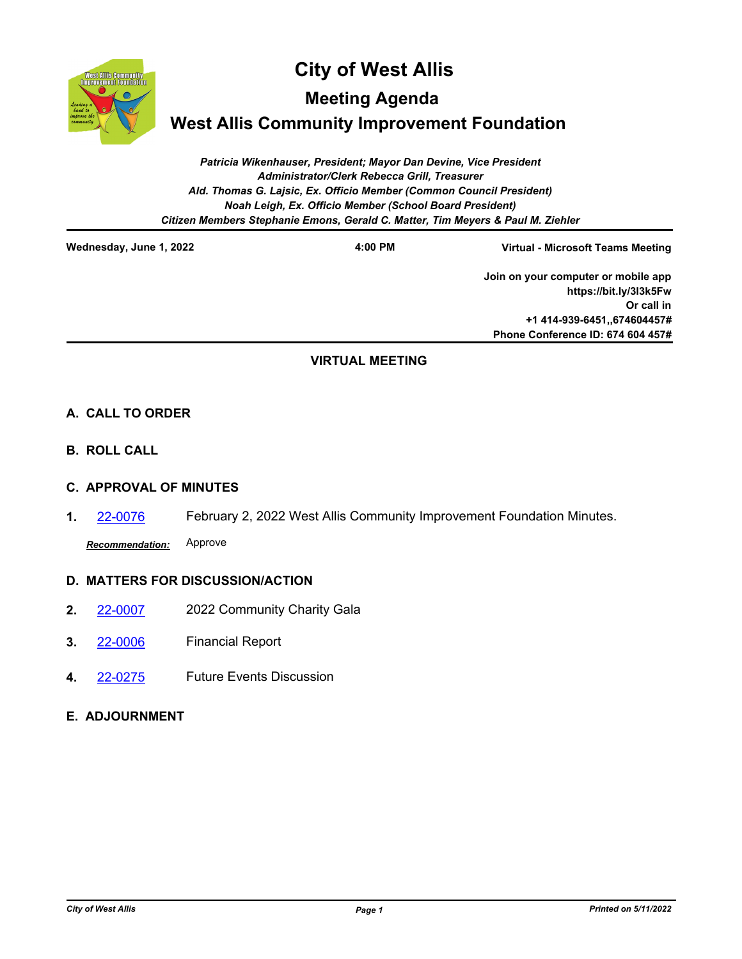

# **City of West Allis**

**Meeting Agenda**

**West Allis Community Improvement Foundation**

*Patricia Wikenhauser, President; Mayor Dan Devine, Vice President Administrator/Clerk Rebecca Grill, Treasurer Ald. Thomas G. Lajsic, Ex. Officio Member (Common Council President) Noah Leigh, Ex. Officio Member (School Board President) Citizen Members Stephanie Emons, Gerald C. Matter, Tim Meyers & Paul M. Ziehler*

**Wednesday, June 1, 2022 4:00 PM**

**Virtual - Microsoft Teams Meeting**

**Join on your computer or mobile app https://bit.ly/3l3k5Fw Or call in +1 414-939-6451,,674604457# Phone Conference ID: 674 604 457#**

# **VIRTUAL MEETING**

# **A. CALL TO ORDER**

**B. ROLL CALL**

## **C. APPROVAL OF MINUTES**

**1.** [22-0076](http://westalliswi.legistar.com/gateway.aspx?m=l&id=/matter.aspx?key=28494) February 2, 2022 West Allis Community Improvement Foundation Minutes.

*Recommendation:* Approve

## **D. MATTERS FOR DISCUSSION/ACTION**

- **2.** [22-0007](http://westalliswi.legistar.com/gateway.aspx?m=l&id=/matter.aspx?key=28346) 2022 Community Charity Gala
- **3.** [22-0006](http://westalliswi.legistar.com/gateway.aspx?m=l&id=/matter.aspx?key=28345) Financial Report
- **4.** [22-0275](http://westalliswi.legistar.com/gateway.aspx?m=l&id=/matter.aspx?key=28844) Future Events Discussion

## **E. ADJOURNMENT**